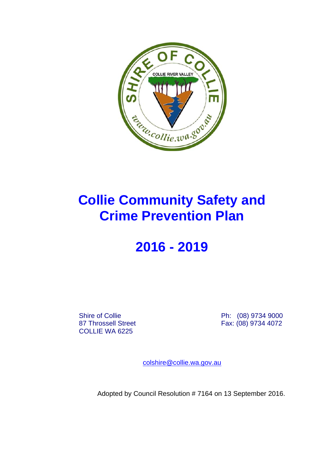

# **Collie Community Safety and Crime Prevention Plan**

# **2016 - 2019**

COLLIE WA 6225

Shire of Collie **Ph: (08) 9734 9000** 87 Throssell Street Fax: (08) 9734 4072

colshire@collie.wa.gov.au

Adopted by Council Resolution # 7164 on 13 September 2016.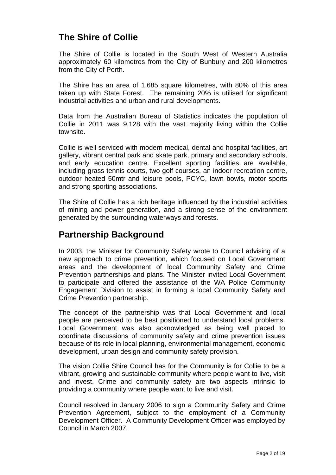# **The Shire of Collie**

The Shire of Collie is located in the South West of Western Australia approximately 60 kilometres from the City of Bunbury and 200 kilometres from the City of Perth.

The Shire has an area of 1,685 square kilometres, with 80% of this area taken up with State Forest. The remaining 20% is utilised for significant industrial activities and urban and rural developments.

Data from the Australian Bureau of Statistics indicates the population of Collie in 2011 was 9,128 with the vast majority living within the Collie townsite.

Collie is well serviced with modern medical, dental and hospital facilities, art gallery, vibrant central park and skate park, primary and secondary schools, and early education centre. Excellent sporting facilities are available, including grass tennis courts, two golf courses, an indoor recreation centre, outdoor heated 50mtr and leisure pools, PCYC, lawn bowls, motor sports and strong sporting associations.

The Shire of Collie has a rich heritage influenced by the industrial activities of mining and power generation, and a strong sense of the environment generated by the surrounding waterways and forests.

# **Partnership Background**

In 2003, the Minister for Community Safety wrote to Council advising of a new approach to crime prevention, which focused on Local Government areas and the development of local Community Safety and Crime Prevention partnerships and plans. The Minister invited Local Government to participate and offered the assistance of the WA Police Community Engagement Division to assist in forming a local Community Safety and Crime Prevention partnership.

The concept of the partnership was that Local Government and local people are perceived to be best positioned to understand local problems. Local Government was also acknowledged as being well placed to coordinate discussions of community safety and crime prevention issues because of its role in local planning, environmental management, economic development, urban design and community safety provision.

The vision Collie Shire Council has for the Community is for Collie to be a vibrant, growing and sustainable community where people want to live, visit and invest. Crime and community safety are two aspects intrinsic to providing a community where people want to live and visit.

Council resolved in January 2006 to sign a Community Safety and Crime Prevention Agreement, subject to the employment of a Community Development Officer. A Community Development Officer was employed by Council in March 2007.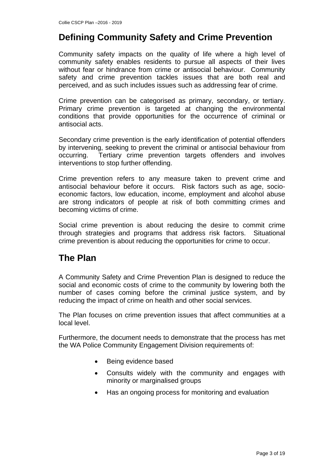# **Defining Community Safety and Crime Prevention**

Community safety impacts on the quality of life where a high level of community safety enables residents to pursue all aspects of their lives without fear or hindrance from crime or antisocial behaviour. Community safety and crime prevention tackles issues that are both real and perceived, and as such includes issues such as addressing fear of crime.

Crime prevention can be categorised as primary, secondary, or tertiary. Primary crime prevention is targeted at changing the environmental conditions that provide opportunities for the occurrence of criminal or antisocial acts.

Secondary crime prevention is the early identification of potential offenders by intervening, seeking to prevent the criminal or antisocial behaviour from occurring. Tertiary crime prevention targets offenders and involves interventions to stop further offending.

Crime prevention refers to any measure taken to prevent crime and antisocial behaviour before it occurs. Risk factors such as age, socioeconomic factors, low education, income, employment and alcohol abuse are strong indicators of people at risk of both committing crimes and becoming victims of crime.

Social crime prevention is about reducing the desire to commit crime through strategies and programs that address risk factors. Situational crime prevention is about reducing the opportunities for crime to occur.

# **The Plan**

A Community Safety and Crime Prevention Plan is designed to reduce the social and economic costs of crime to the community by lowering both the number of cases coming before the criminal justice system, and by reducing the impact of crime on health and other social services.

The Plan focuses on crime prevention issues that affect communities at a local level.

Furthermore, the document needs to demonstrate that the process has met the WA Police Community Engagement Division requirements of:

- Being evidence based
- Consults widely with the community and engages with minority or marginalised groups
- Has an ongoing process for monitoring and evaluation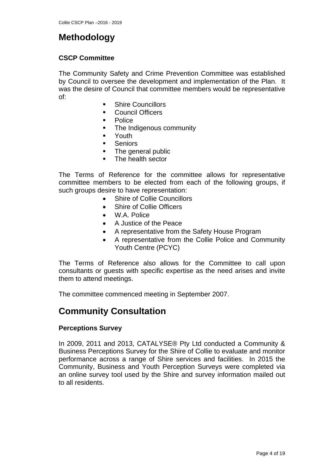# **Methodology**

#### **CSCP Committee**

The Community Safety and Crime Prevention Committee was established by Council to oversee the development and implementation of the Plan. It was the desire of Council that committee members would be representative of:

- **Shire Councillors**
- **Council Officers**
- **Police**
- The Indigenous community
- **•** Youth
- **Seniors**
- The general public
- **The health sector**

The Terms of Reference for the committee allows for representative committee members to be elected from each of the following groups, if such groups desire to have representation:

- Shire of Collie Councillors
- Shire of Collie Officers
- W.A. Police
- A Justice of the Peace
- A representative from the Safety House Program
- A representative from the Collie Police and Community Youth Centre (PCYC)

The Terms of Reference also allows for the Committee to call upon consultants or guests with specific expertise as the need arises and invite them to attend meetings.

The committee commenced meeting in September 2007.

# **Community Consultation**

#### **Perceptions Survey**

In 2009, 2011 and 2013, CATALYSE® Pty Ltd conducted a Community & Business Perceptions Survey for the Shire of Collie to evaluate and monitor performance across a range of Shire services and facilities. In 2015 the Community, Business and Youth Perception Surveys were completed via an online survey tool used by the Shire and survey information mailed out to all residents.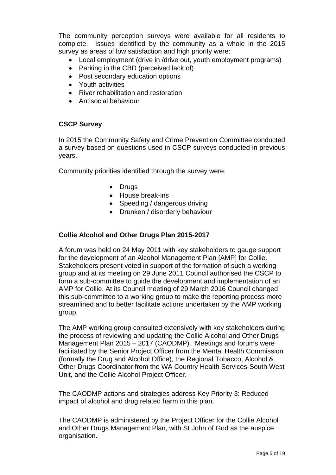The community perception surveys were available for all residents to complete. Issues identified by the community as a whole in the 2015 survey as areas of low satisfaction and high priority were:

- Local employment (drive in /drive out, youth employment programs)
- Parking in the CBD (perceived lack of)
- Post secondary education options
- Youth activities
- River rehabilitation and restoration
- Antisocial behaviour

#### **CSCP Survey**

In 2015 the Community Safety and Crime Prevention Committee conducted a survey based on questions used in CSCP surveys conducted in previous years.

Community priorities identified through the survey were:

- Drugs
- House break-ins
- Speeding / dangerous driving
- Drunken / disorderly behaviour

#### **Collie Alcohol and Other Drugs Plan 2015-2017**

A forum was held on 24 May 2011 with key stakeholders to gauge support for the development of an Alcohol Management Plan [AMP] for Collie. Stakeholders present voted in support of the formation of such a working group and at its meeting on 29 June 2011 Council authorised the CSCP to form a sub-committee to guide the development and implementation of an AMP for Collie. At its Council meeting of 29 March 2016 Council changed this sub-committee to a working group to make the reporting process more streamlined and to better facilitate actions undertaken by the AMP working group.

The AMP working group consulted extensively with key stakeholders during the process of reviewing and updating the Collie Alcohol and Other Drugs Management Plan 2015 – 2017 (CAODMP). Meetings and forums were facilitated by the Senior Project Officer from the Mental Health Commission (formally the Drug and Alcohol Office), the Regional Tobacco, Alcohol & Other Drugs Coordinator from the WA Country Health Services-South West Unit, and the Collie Alcohol Project Officer.

The CAODMP actions and strategies address Key Priority 3: Reduced impact of alcohol and drug related harm in this plan.

The CAODMP is administered by the Project Officer for the Collie Alcohol and Other Drugs Management Plan, with St John of God as the auspice organisation.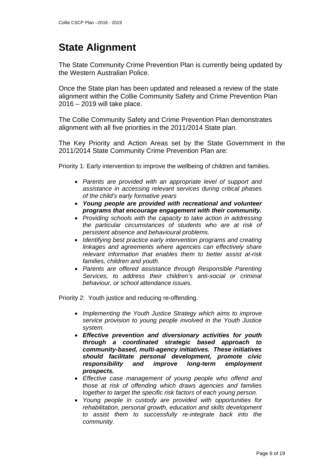# **State Alignment**

The State Community Crime Prevention Plan is currently being updated by the Western Australian Police.

Once the State plan has been updated and released a review of the state alignment within the Collie Community Safety and Crime Prevention Plan 2016 – 2019 will take place.

The Collie Community Safety and Crime Prevention Plan demonstrates alignment with all five priorities in the 2011/2014 State plan.

The Key Priority and Action Areas set by the State Government in the 2011/2014 State Community Crime Prevention Plan are:

Priority 1: Early intervention to improve the wellbeing of children and families.

- *Parents are provided with an appropriate level of support and assistance in accessing relevant services during critical phases of the child's early formative years*
- *Young people are provided with recreational and volunteer programs that encourage engagement with their community.*
- *Providing schools with the capacity to take action in addressing the particular circumstances of students who are at risk of persistent absence and behavioural problems.*
- *Identifying best practice early intervention programs and creating linkages and agreements where agencies can effectively share relevant information that enables them to better assist at-risk families, children and youth.*
- *Parents are offered assistance through Responsible Parenting Services, to address their children's anti-social or criminal behaviour, or school attendance issues.*

Priority 2: Youth justice and reducing re-offending.

- *Implementing the Youth Justice Strategy which aims to improve service provision to young people involved in the Youth Justice system.*
- *Effective prevention and diversionary activities for youth through a coordinated strategic based approach to community-based, multi-agency initiatives. These initiatives should facilitate personal development, promote civic responsibility and improve long-term employment prospects.*
- *Effective case management of young people who offend and those at risk of offending which draws agencies and families together to target the specific risk factors of each young person.*
- *Young people in custody are provided with opportunities for rehabilitation, personal growth, education and skills development to assist them to successfully re-integrate back into the community.*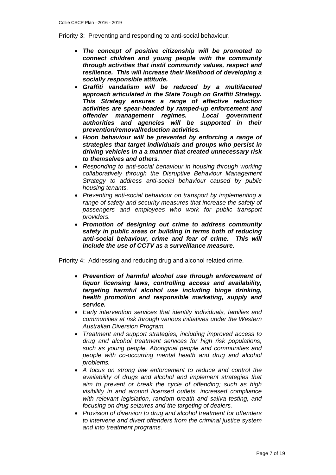Priority 3: Preventing and responding to anti-social behaviour.

- *The concept of positive citizenship will be promoted to connect children and young people with the community through activities that instil community values, respect and resilience. This will increase their likelihood of developing a socially responsible attitude.*
- *Graffiti vandalism will be reduced by a multifaceted approach articulated in the State Tough on Graffiti Strategy. This Strategy ensures a range of effective reduction activities are spear-headed by ramped-up enforcement and offender management regimes. Local government authorities and agencies will be supported in their prevention/removal/reduction activities.*
- *Hoon behaviour will be prevented by enforcing a range of strategies that target individuals and groups who persist in driving vehicles in a a manner that created unnecessary risk to themselves and others.*
- *Responding to anti-social behaviour in housing through working collaboratively through the Disruptive Behaviour Management Strategy to address anti-social behaviour caused by public housing tenants.*
- *Preventing anti-social behaviour on transport by implementing a range of safety and security measures that increase the safety of passengers and employees who work for public transport providers.*
- *Promotion of designing out crime to address community safety in public areas or building in terms both of reducing anti-social behaviour, crime and fear of crime. This will include the use of CCTV as a surveillance measure.*

Priority 4: Addressing and reducing drug and alcohol related crime.

- *Prevention of harmful alcohol use through enforcement of liquor licensing laws, controlling access and availability, targeting harmful alcohol use including binge drinking, health promotion and responsible marketing, supply and service.*
- *Early intervention services that identify individuals, families and communities at risk through various initiatives under the Western Australian Diversion Program.*
- *Treatment and support strategies, including improved access to drug and alcohol treatment services for high risk populations, such as young people, Aboriginal people and communities and people with co-occurring mental health and drug and alcohol problems.*
- *A focus on strong law enforcement to reduce and control the availability of drugs and alcohol and implement strategies that aim to prevent or break the cycle of offending; such as high visibility in and around licensed outlets, increased compliance with relevant legislation, random breath and saliva testing, and focusing on drug seizures and the targeting of dealers.*
- *Provision of diversion to drug and alcohol treatment for offenders to intervene and divert offenders from the criminal justice system and into treatment programs.*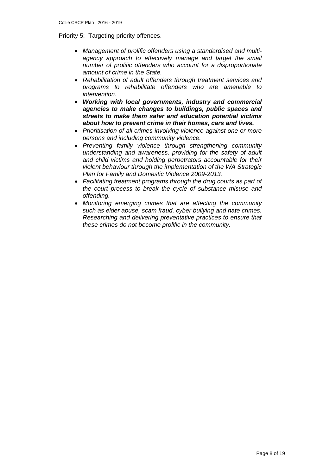Priority 5: Targeting priority offences.

- *Management of prolific offenders using a standardised and multiagency approach to effectively manage and target the small number of prolific offenders who account for a disproportionate amount of crime in the State.*
- *Rehabilitation of adult offenders through treatment services and programs to rehabilitate offenders who are amenable to intervention.*
- *Working with local governments, industry and commercial agencies to make changes to buildings, public spaces and streets to make them safer and education potential victims about how to prevent crime in their homes, cars and lives.*
- *Prioritisation of all crimes involving violence against one or more persons and including community violence.*
- *Preventing family violence through strengthening community understanding and awareness, providing for the safety of adult and child victims and holding perpetrators accountable for their violent behaviour through the implementation of the WA Strategic Plan for Family and Domestic Violence 2009-2013.*
- *Facilitating treatment programs through the drug courts as part of the court process to break the cycle of substance misuse and offending.*
- *Monitoring emerging crimes that are affecting the community such as elder abuse, scam fraud, cyber bullying and hate crimes. Researching and delivering preventative practices to ensure that these crimes do not become prolific in the community.*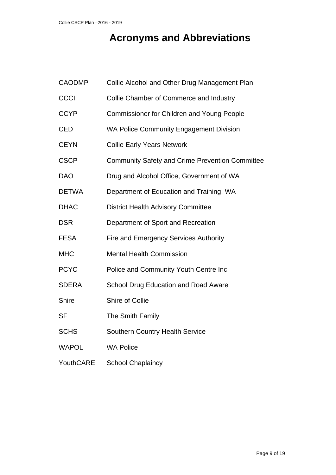# **Acronyms and Abbreviations**

| <b>CAODMP</b> | Collie Alcohol and Other Drug Management Plan          |
|---------------|--------------------------------------------------------|
| <b>CCCI</b>   | Collie Chamber of Commerce and Industry                |
| <b>CCYP</b>   | <b>Commissioner for Children and Young People</b>      |
| <b>CED</b>    | <b>WA Police Community Engagement Division</b>         |
| <b>CEYN</b>   | <b>Collie Early Years Network</b>                      |
| <b>CSCP</b>   | <b>Community Safety and Crime Prevention Committee</b> |
| <b>DAO</b>    | Drug and Alcohol Office, Government of WA              |
| <b>DETWA</b>  | Department of Education and Training, WA               |
| <b>DHAC</b>   | <b>District Health Advisory Committee</b>              |
| <b>DSR</b>    | Department of Sport and Recreation                     |
| <b>FESA</b>   | <b>Fire and Emergency Services Authority</b>           |
| <b>MHC</b>    | <b>Mental Health Commission</b>                        |
| <b>PCYC</b>   | Police and Community Youth Centre Inc                  |
| <b>SDERA</b>  | School Drug Education and Road Aware                   |
| <b>Shire</b>  | Shire of Collie                                        |
| <b>SF</b>     | The Smith Family                                       |
| <b>SCHS</b>   | <b>Southern Country Health Service</b>                 |
| <b>WAPOL</b>  | <b>WA Police</b>                                       |
| YouthCARE     | <b>School Chaplaincy</b>                               |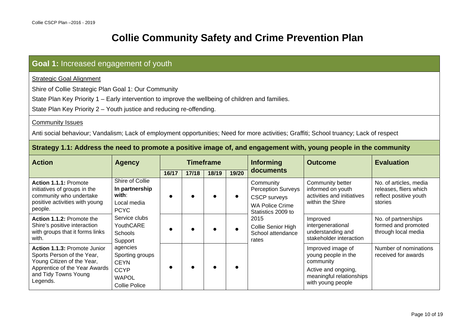# **Collie Community Safety and Crime Prevention Plan**

## **Goal 1:** Increased engagement of youth

Strategic Goal Alignment

Shire of Collie Strategic Plan Goal 1: Our Community

State Plan Key Priority 1 – Early intervention to improve the wellbeing of children and families.

State Plan Key Priority 2 – Youth justice and reducing re-offending.

#### **Community Issues**

Anti social behaviour; Vandalism; Lack of employment opportunities; Need for more activities; Graffiti; School truancy; Lack of respect

#### **Strategy 1.1: Address the need to promote a positive image of, and engagement with, young people in the community**

| <b>Action</b>                                                                                                                                                 | <b>Agency</b>                                                                                     |       |       | <b>Timeframe</b> |       | <b>Informing</b>                                                                                              | <b>Outcome</b>                                                                                                                | <b>Evaluation</b>                                                                     |
|---------------------------------------------------------------------------------------------------------------------------------------------------------------|---------------------------------------------------------------------------------------------------|-------|-------|------------------|-------|---------------------------------------------------------------------------------------------------------------|-------------------------------------------------------------------------------------------------------------------------------|---------------------------------------------------------------------------------------|
|                                                                                                                                                               |                                                                                                   | 16/17 | 17/18 | 18/19            | 19/20 | documents                                                                                                     |                                                                                                                               |                                                                                       |
| Action 1.1.1: Promote<br>initiatives of groups in the<br>community who undertake<br>positive activities with young<br>people.                                 | Shire of Collie<br>In partnership<br>with:<br>Local media<br><b>PCYC</b>                          |       |       |                  |       | Community<br><b>Perception Surveys</b><br><b>CSCP</b> surveys<br><b>WA Police Crime</b><br>Statistics 2009 to | Community better<br>informed on youth<br>activities and initiatives<br>within the Shire                                       | No. of articles, media<br>releases, fliers which<br>reflect positive youth<br>stories |
| Action 1.1.2: Promote the<br>Shire's positive interaction<br>with groups that it forms links<br>with.                                                         | Service clubs<br>YouthCARE<br>Schools<br>Support                                                  |       |       |                  |       | 2015<br>Collie Senior High<br>School attendance<br>rates                                                      | Improved<br>intergenerational<br>understanding and<br>stakeholder interaction                                                 | No. of partnerships<br>formed and promoted<br>through local media                     |
| Action 1.1.3: Promote Junior<br>Sports Person of the Year,<br>Young Citizen of the Year,<br>Apprentice of the Year Awards<br>and Tidy Towns Young<br>Legends. | agencies<br>Sporting groups<br><b>CEYN</b><br><b>CCYP</b><br><b>WAPOL</b><br><b>Collie Police</b> |       |       |                  |       |                                                                                                               | Improved image of<br>young people in the<br>community<br>Active and ongoing,<br>meaningful relationships<br>with young people | Number of nominations<br>received for awards                                          |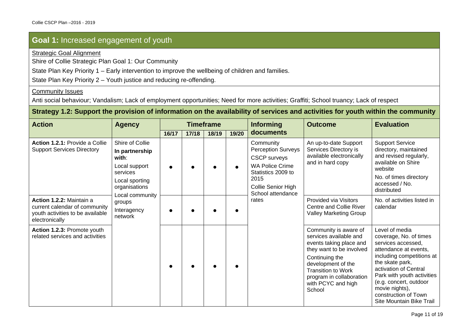Strategic Goal Alignment

Shire of Collie Strategic Plan Goal 1: Our Community

State Plan Key Priority 1 – Early intervention to improve the wellbeing of children and families.

State Plan Key Priority 2 – Youth justice and reducing re-offending.

#### Community Issues

Anti social behaviour; Vandalism; Lack of employment opportunities; Need for more activities; Graffiti; School truancy; Lack of respect

#### **Strategy 1.2: Support the provision of information on the availability of services and activities for youth within the community**

| <b>Action</b>                                                                                                   | <b>Agency</b>                                                                                                                 |       |       | <b>Timeframe</b> |       | <b>Informing</b>                                                                                                                                                 | <b>Outcome</b>                                                                                                                                                                                                                          | <b>Evaluation</b>                                                                                                                                                                                                                                                                              |
|-----------------------------------------------------------------------------------------------------------------|-------------------------------------------------------------------------------------------------------------------------------|-------|-------|------------------|-------|------------------------------------------------------------------------------------------------------------------------------------------------------------------|-----------------------------------------------------------------------------------------------------------------------------------------------------------------------------------------------------------------------------------------|------------------------------------------------------------------------------------------------------------------------------------------------------------------------------------------------------------------------------------------------------------------------------------------------|
|                                                                                                                 |                                                                                                                               | 16/17 | 17/18 | 18/19            | 19/20 | documents                                                                                                                                                        |                                                                                                                                                                                                                                         |                                                                                                                                                                                                                                                                                                |
| Action 1.2.1: Provide a Collie<br><b>Support Services Directory</b>                                             | Shire of Collie<br>In partnership<br>with:<br>Local support<br>services<br>Local sporting<br>organisations<br>Local community |       |       |                  |       | Community<br><b>Perception Surveys</b><br><b>CSCP</b> surveys<br><b>WA Police Crime</b><br>Statistics 2009 to<br>2015<br>Collie Senior High<br>School attendance | An up-to-date Support<br>Services Directory is<br>available electronically<br>and in hard copy                                                                                                                                          | <b>Support Service</b><br>directory, maintained<br>and revised regularly,<br>available on Shire<br>website<br>No. of times directory<br>accessed / No.<br>distributed                                                                                                                          |
| Action 1.2.2: Maintain a<br>current calendar of community<br>youth activities to be available<br>electronically | groups<br>Interagency<br>network                                                                                              |       |       |                  |       | rates                                                                                                                                                            | <b>Provided via Visitors</b><br>Centre and Collie River<br><b>Valley Marketing Group</b>                                                                                                                                                | No. of activities listed in<br>calendar                                                                                                                                                                                                                                                        |
| Action 1.2.3: Promote youth<br>related services and activities                                                  |                                                                                                                               |       |       |                  |       |                                                                                                                                                                  | Community is aware of<br>services available and<br>events taking place and<br>they want to be involved<br>Continuing the<br>development of the<br><b>Transition to Work</b><br>program in collaboration<br>with PCYC and high<br>School | Level of media<br>coverage, No. of times<br>services accessed,<br>attendance at events,<br>including competitions at<br>the skate park,<br>activation of Central<br>Park with youth activities<br>(e.g. concert, outdoor<br>movie nights),<br>construction of Town<br>Site Mountain Bike Trail |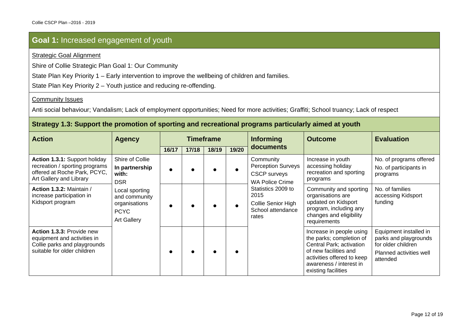#### Strategic Goal Alignment

Shire of Collie Strategic Plan Goal 1: Our Community

State Plan Key Priority 1 – Early intervention to improve the wellbeing of children and families.

State Plan Key Priority 2 – Youth justice and reducing re-offending.

#### **Community Issues**

Anti social behaviour; Vandalism; Lack of employment opportunities; Need for more activities; Graffiti; School truancy; Lack of respect

#### **Strategy 1.3: Support the promotion of sporting and recreational programs particularly aimed at youth**

| <b>Action</b>                                                                                                              | <b>Agency</b>                                                                                                                                     | <b>Timeframe</b> |       |       |       | <b>Informing</b>                                                                        | <b>Outcome</b>                                                                                                                                                                            | <b>Evaluation</b>                                                                                            |
|----------------------------------------------------------------------------------------------------------------------------|---------------------------------------------------------------------------------------------------------------------------------------------------|------------------|-------|-------|-------|-----------------------------------------------------------------------------------------|-------------------------------------------------------------------------------------------------------------------------------------------------------------------------------------------|--------------------------------------------------------------------------------------------------------------|
|                                                                                                                            |                                                                                                                                                   | 16/17            | 17/18 | 18/19 | 19/20 | documents                                                                               |                                                                                                                                                                                           |                                                                                                              |
| Action 1.3.1: Support holiday<br>recreation / sporting programs<br>offered at Roche Park, PCYC,<br>Art Gallery and Library | Shire of Collie<br>In partnership<br>with:<br><b>DSR</b><br>Local sporting<br>and community<br>organisations<br><b>PCYC</b><br><b>Art Gallery</b> |                  |       |       |       | Community<br><b>Perception Surveys</b><br><b>CSCP</b> surveys<br><b>WA Police Crime</b> | Increase in youth<br>accessing holiday<br>recreation and sporting<br>programs                                                                                                             | No. of programs offered<br>No. of participants in<br>programs                                                |
| Action 1.3.2: Maintain /<br>increase participation in<br>Kidsport program                                                  |                                                                                                                                                   |                  |       |       |       | Statistics 2009 to<br>2015<br>Collie Senior High<br>School attendance<br>rates          | Community and sporting<br>organisations are<br>updated on Kidsport<br>program, including any<br>changes and eligibility<br>requirements                                                   | No. of families<br>accessing Kidsport<br>funding                                                             |
| Action 1.3.3: Provide new<br>equipment and activities in<br>Collie parks and playgrounds<br>suitable for older children    |                                                                                                                                                   |                  |       |       |       |                                                                                         | Increase in people using<br>the parks; completion of<br>Central Park; activation<br>of new facilities and<br>activities offered to keep<br>awareness / interest in<br>existing facilities | Equipment installed in<br>parks and playgrounds<br>for older children<br>Planned activities well<br>attended |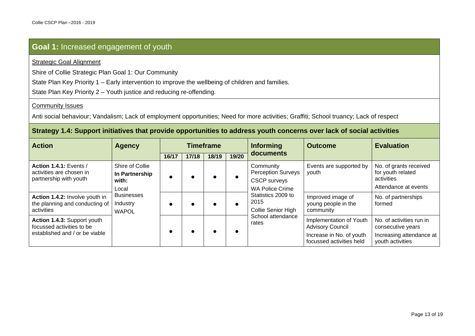#### Strategic Goal Alignment

Shire of Collie Strategic Plan Goal 1: Our Community

State Plan Key Priority 1 – Early intervention to improve the wellbeing of children and families.

State Plan Key Priority 2 – Youth justice and reducing re-offending.

#### Community Issues

Anti social behaviour; Vandalism; Lack of employment opportunities; Need for more activities; Graffiti; School truancy; Lack of respect

#### **Strategy 1.4: Support initiatives that provide opportunities to address youth concerns over lack of social activities**

| <b>Action</b>                                                                              | <b>Agency</b>                                 |       |       | <b>Timeframe</b> |       | <b>Informing</b>                                 | <b>Outcome</b>                                                                 | <b>Evaluation</b>                                                         |
|--------------------------------------------------------------------------------------------|-----------------------------------------------|-------|-------|------------------|-------|--------------------------------------------------|--------------------------------------------------------------------------------|---------------------------------------------------------------------------|
|                                                                                            |                                               | 16/17 | 17/18 | 18/19            | 19/20 | documents                                        |                                                                                |                                                                           |
| Action 1.4.1: Events /<br>activities are chosen in                                         | Shire of Collie<br>In Partnership             |       |       |                  |       | Community<br><b>Perception Surveys</b>           | Events are supported by<br>youth                                               | No. of grants received<br>for youth related                               |
| partnership with youth                                                                     | with:                                         |       |       |                  |       | <b>CSCP</b> surveys                              |                                                                                | activities                                                                |
|                                                                                            | Local                                         |       |       |                  |       | <b>WA Police Crime</b>                           |                                                                                | Attendance at events                                                      |
| Action 1.4.2: Involve youth in<br>the planning and conducting of<br>activities             | <b>Businesses</b><br>Industry<br><b>WAPOL</b> |       |       |                  |       | Statistics 2009 to<br>2015<br>Collie Senior High | Improved image of<br>young people in the<br>community                          | No. of partnerships<br>formed                                             |
| Action 1.4.3: Support youth<br>focussed activities to be<br>established and / or be viable |                                               |       |       |                  |       | School attendance<br>rates                       | Implementation of Youth<br><b>Advisory Council</b><br>Increase in No. of youth | No. of activities run in<br>consecutive years<br>Increasing attendance at |
|                                                                                            |                                               |       |       |                  |       |                                                  | focussed activities held                                                       | youth activities                                                          |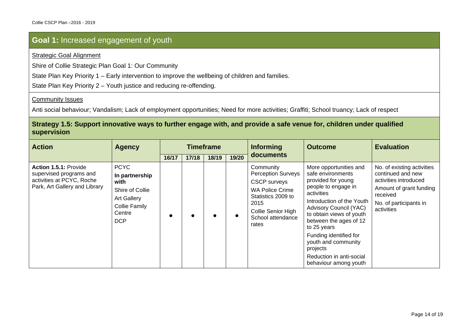#### Strategic Goal Alignment

Shire of Collie Strategic Plan Goal 1: Our Community

State Plan Key Priority 1 – Early intervention to improve the wellbeing of children and families.

State Plan Key Priority 2 – Youth justice and reducing re-offending.

#### **Community Issues**

Anti social behaviour; Vandalism; Lack of employment opportunities; Need for more activities; Graffiti; School truancy; Lack of respect

#### **Strategy 1.5: Support innovative ways to further engage with, and provide a safe venue for, children under qualified supervision**

| <b>Action</b>                                                                                                  | <b>Agency</b>                                                                                                                  | <b>Timeframe</b> |       |       |       | <b>Informing</b>                                                                                                                                                          | <b>Outcome</b>                                                                                                                                                                                                                                                                                                                                              | <b>Evaluation</b>                                                                                                                                       |
|----------------------------------------------------------------------------------------------------------------|--------------------------------------------------------------------------------------------------------------------------------|------------------|-------|-------|-------|---------------------------------------------------------------------------------------------------------------------------------------------------------------------------|-------------------------------------------------------------------------------------------------------------------------------------------------------------------------------------------------------------------------------------------------------------------------------------------------------------------------------------------------------------|---------------------------------------------------------------------------------------------------------------------------------------------------------|
|                                                                                                                |                                                                                                                                | 16/17            | 17/18 | 18/19 | 19/20 | documents                                                                                                                                                                 |                                                                                                                                                                                                                                                                                                                                                             |                                                                                                                                                         |
| Action 1.5.1: Provide<br>supervised programs and<br>activities at PCYC, Roche<br>Park, Art Gallery and Library | <b>PCYC</b><br>In partnership<br>with<br>Shire of Collie<br><b>Art Gallery</b><br><b>Collie Family</b><br>Centre<br><b>DCP</b> |                  |       |       |       | Community<br><b>Perception Surveys</b><br><b>CSCP</b> surveys<br><b>WA Police Crime</b><br>Statistics 2009 to<br>2015<br>Collie Senior High<br>School attendance<br>rates | More opportunities and<br>safe environments<br>provided for young<br>people to engage in<br>activities<br>Introduction of the Youth<br><b>Advisory Council (YAC)</b><br>to obtain views of youth<br>between the ages of 12<br>to 25 years<br>Funding identified for<br>youth and community<br>projects<br>Reduction in anti-social<br>behaviour among youth | No. of existing activities<br>continued and new<br>activities introduced<br>Amount of grant funding<br>received<br>No. of participants in<br>activities |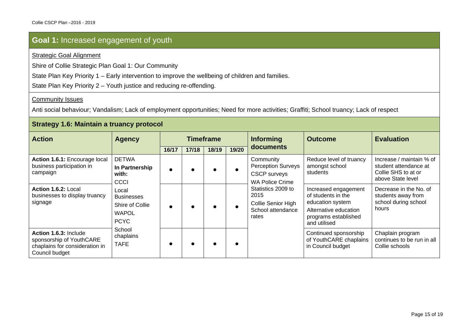#### Strategic Goal Alignment

Shire of Collie Strategic Plan Goal 1: Our Community

State Plan Key Priority 1 – Early intervention to improve the wellbeing of children and families.

State Plan Key Priority 2 – Youth justice and reducing re-offending.

#### **Community Issues**

Anti social behaviour; Vandalism; Lack of employment opportunities; Need for more activities; Graffiti; School truancy; Lack of respect

#### **Strategy 1.6: Maintain a truancy protocol**

| <b>Action</b>                                                                                         | <b>Agency</b>                                                                | <b>Timeframe</b> |       |       |       | <b>Informing</b>                                                                        | <b>Outcome</b>                                                                                                                  | <b>Evaluation</b>                                                                             |
|-------------------------------------------------------------------------------------------------------|------------------------------------------------------------------------------|------------------|-------|-------|-------|-----------------------------------------------------------------------------------------|---------------------------------------------------------------------------------------------------------------------------------|-----------------------------------------------------------------------------------------------|
|                                                                                                       |                                                                              | 16/17            | 17/18 | 18/19 | 19/20 | documents                                                                               |                                                                                                                                 |                                                                                               |
| Action 1.6.1: Encourage local<br>business participation in<br>campaign                                | <b>DETWA</b><br>In Partnership<br>with:<br>CCCI                              |                  |       |       |       | Community<br><b>Perception Surveys</b><br><b>CSCP</b> surveys<br><b>WA Police Crime</b> | Reduce level of truancy<br>amongst school<br>students                                                                           | Increase / maintain % of<br>student attendance at<br>Collie SHS to at or<br>above State level |
| Action 1.6.2: Local<br>businesses to display truancy<br>signage                                       | Local<br><b>Businesses</b><br>Shire of Collie<br><b>WAPOL</b><br><b>PCYC</b> |                  |       |       |       | Statistics 2009 to<br>2015<br>Collie Senior High<br>School attendance<br>rates          | Increased engagement<br>of students in the<br>education system<br>Alternative education<br>programs established<br>and utilised | Decrease in the No. of<br>students away from<br>school during school<br>hours                 |
| Action 1.6.3: Include<br>sponsorship of YouthCARE<br>chaplains for consideration in<br>Council budget | School<br>chaplains<br><b>TAFE</b>                                           |                  |       |       |       |                                                                                         | Continued sponsorship<br>of YouthCARE chaplains<br>in Council budget                                                            | Chaplain program<br>continues to be run in all<br>Collie schools                              |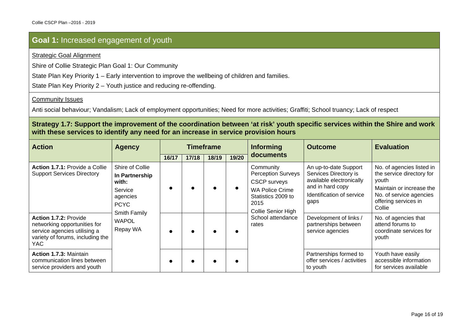#### Strategic Goal Alignment

Shire of Collie Strategic Plan Goal 1: Our Community

State Plan Key Priority 1 – Early intervention to improve the wellbeing of children and families.

State Plan Key Priority 2 – Youth justice and reducing re-offending.

#### **Community Issues**

Anti social behaviour; Vandalism; Lack of employment opportunities; Need for more activities; Graffiti; School truancy; Lack of respect

#### **Strategy 1.7: Support the improvement of the coordination between 'at risk' youth specific services within the Shire and work with these services to identify any need for an increase in service provision hours**

| <b>Action</b>                                                                                                                     | <b>Agency</b>                                                                                                                | <b>Timeframe</b> |       |       |       | <b>Informing</b>                                                                                                                                                          | <b>Outcome</b>                                                                                                                      | <b>Evaluation</b>                                                                                                                                        |
|-----------------------------------------------------------------------------------------------------------------------------------|------------------------------------------------------------------------------------------------------------------------------|------------------|-------|-------|-------|---------------------------------------------------------------------------------------------------------------------------------------------------------------------------|-------------------------------------------------------------------------------------------------------------------------------------|----------------------------------------------------------------------------------------------------------------------------------------------------------|
|                                                                                                                                   |                                                                                                                              | 16/17            | 17/18 | 18/19 | 19/20 | documents                                                                                                                                                                 |                                                                                                                                     |                                                                                                                                                          |
| <b>Action 1.7.1: Provide a Collie</b><br><b>Support Services Directory</b>                                                        | Shire of Collie<br>In Partnership<br>with:<br>Service<br>agencies<br><b>PCYC</b><br>Smith Family<br><b>WAPOL</b><br>Repay WA |                  |       |       |       | Community<br><b>Perception Surveys</b><br><b>CSCP</b> surveys<br><b>WA Police Crime</b><br>Statistics 2009 to<br>2015<br>Collie Senior High<br>School attendance<br>rates | An up-to-date Support<br>Services Directory is<br>available electronically<br>and in hard copy<br>Identification of service<br>gaps | No. of agencies listed in<br>the service directory for<br>youth<br>Maintain or increase the<br>No. of service agencies<br>offering services in<br>Collie |
| Action 1.7.2: Provide<br>networking opportunities for<br>service agencies utilising a<br>variety of forums, including the<br>YAC. |                                                                                                                              |                  |       |       |       |                                                                                                                                                                           | Development of links /<br>partnerships between<br>service agencies                                                                  | No. of agencies that<br>attend forums to<br>coordinate services for<br>youth                                                                             |
| <b>Action 1.7.3: Maintain</b><br>communication lines between<br>service providers and youth                                       |                                                                                                                              |                  |       |       |       |                                                                                                                                                                           | Partnerships formed to<br>offer services / activities<br>to youth                                                                   | Youth have easily<br>accessible information<br>for services available                                                                                    |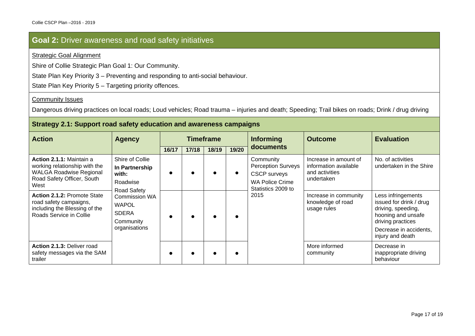### **Goal 2:** Driver awareness and road safety initiatives

#### Strategic Goal Alignment

Shire of Collie Strategic Plan Goal 1: Our Community.

State Plan Key Priority 3 – Preventing and responding to anti-social behaviour.

State Plan Key Priority 5 – Targeting priority offences.

#### **Community Issues**

Dangerous driving practices on local roads; Loud vehicles; Road trauma – injuries and death; Speeding; Trail bikes on roads; Drink / drug driving

#### **Strategy 2.1: Support road safety education and awareness campaigns**

| <b>Action</b>                                                                                                                     | <b>Agency</b>                                                                                                                                                      |       |       | <b>Timeframe</b> |       | <b>Informing</b>                                                                                              | <b>Outcome</b>                                                                 | <b>Evaluation</b>                                                                                                                                            |
|-----------------------------------------------------------------------------------------------------------------------------------|--------------------------------------------------------------------------------------------------------------------------------------------------------------------|-------|-------|------------------|-------|---------------------------------------------------------------------------------------------------------------|--------------------------------------------------------------------------------|--------------------------------------------------------------------------------------------------------------------------------------------------------------|
|                                                                                                                                   |                                                                                                                                                                    | 16/17 | 17/18 | 18/19            | 19/20 | documents                                                                                                     |                                                                                |                                                                                                                                                              |
| Action 2.1.1: Maintain a<br>working relationship with the<br><b>WALGA Roadwise Regional</b><br>Road Safety Officer, South<br>West | Shire of Collie<br>In Partnership<br>with:<br>Roadwise<br><b>Road Safety</b><br><b>Commission WA</b><br><b>WAPOL</b><br><b>SDERA</b><br>Community<br>organisations |       |       |                  |       | Community<br><b>Perception Surveys</b><br><b>CSCP</b> surveys<br><b>WA Police Crime</b><br>Statistics 2009 to | Increase in amount of<br>information available<br>and activities<br>undertaken | No. of activities<br>undertaken in the Shire                                                                                                                 |
| <b>Action 2.1.2: Promote State</b><br>road safety campaigns,<br>including the Blessing of the<br>Roads Service in Collie          |                                                                                                                                                                    |       |       |                  |       | 2015                                                                                                          | Increase in community<br>knowledge of road<br>usage rules                      | Less infringements<br>issued for drink / drug<br>driving, speeding,<br>hooning and unsafe<br>driving practices<br>Decrease in accidents.<br>injury and death |
| Action 2.1.3: Deliver road<br>safety messages via the SAM<br>trailer                                                              |                                                                                                                                                                    |       |       |                  |       |                                                                                                               | More informed<br>community                                                     | Decrease in<br>inappropriate driving<br>behaviour                                                                                                            |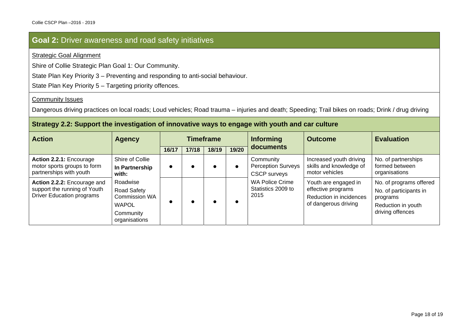### **Goal 2:** Driver awareness and road safety initiatives

#### Strategic Goal Alignment

Shire of Collie Strategic Plan Goal 1: Our Community.

State Plan Key Priority 3 – Preventing and responding to anti-social behaviour.

State Plan Key Priority 5 – Targeting priority offences.

#### **Community Issues**

Dangerous driving practices on local roads; Loud vehicles; Road trauma – injuries and death; Speeding; Trail bikes on roads; Drink / drug driving

#### **Strategy 2.2: Support the investigation of innovative ways to engage with youth and car culture**

| <b>Action</b>                                                    | <b>Agency</b>                | <b>Timeframe</b> |       |       |       | <b>Informing</b>                                 | <b>Outcome</b>                                | <b>Evaluation</b>                  |
|------------------------------------------------------------------|------------------------------|------------------|-------|-------|-------|--------------------------------------------------|-----------------------------------------------|------------------------------------|
|                                                                  |                              | 16/17            | 17/18 | 18/19 | 19/20 | documents                                        |                                               |                                    |
| Action 2.2.1: Encourage                                          | Shire of Collie              |                  |       |       |       | Community                                        | Increased youth driving                       | No. of partnerships                |
| motor sports groups to form<br>partnerships with youth           | In Partnership<br>with:      |                  |       |       |       | <b>Perception Surveys</b><br><b>CSCP</b> surveys | skills and knowledge of<br>motor vehicles     | formed between<br>organisations    |
| Action 2.2.2: Encourage and                                      | Roadwise                     |                  |       |       |       | <b>WA Police Crime</b>                           | Youth are engaged in                          | No. of programs offered            |
| support the running of Youth<br><b>Driver Education programs</b> | Road Safety<br>Commission WA |                  |       |       |       | Statistics 2009 to<br>2015                       | effective programs<br>Reduction in incidences | No. of participants in<br>programs |
|                                                                  | <b>WAPOL</b>                 |                  |       |       |       |                                                  | of dangerous driving                          | Reduction in youth                 |
|                                                                  | Community<br>organisations   |                  |       |       |       |                                                  |                                               | driving offences                   |